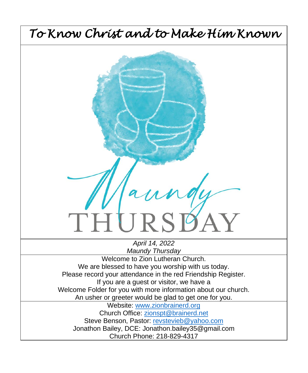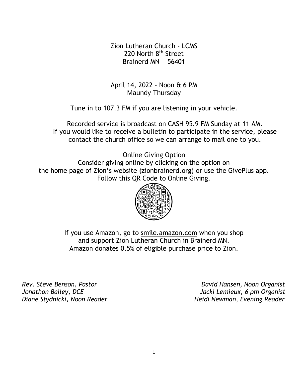Zion Lutheran Church - LCMS 220 North 8<sup>th</sup> Street Brainerd MN 56401

April 14, 2022 – Noon & 6 PM Maundy Thursday

Tune in to 107.3 FM if you are listening in your vehicle.

Recorded service is broadcast on CASH 95.9 FM Sunday at 11 AM. If you would like to receive a bulletin to participate in the service, please contact the church office so we can arrange to mail one to you.

Online Giving Option

Consider giving online by clicking on the option on the home page of Zion's website (zionbrainerd.org) or use the GivePlus app. Follow this QR Code to Online Giving.



If you use Amazon, go to smile.amazon.com when you shop and support Zion Lutheran Church in Brainerd MN. Amazon donates 0.5% of eligible purchase price to Zion.

*Rev. Steve Benson, Pastor David Hansen, Noon Organist Jonathon Bailey, DCE Jacki Lemieux, 6 pm Organist Diane Stydnicki, Noon Reader Heidi Newman, Evening Reader*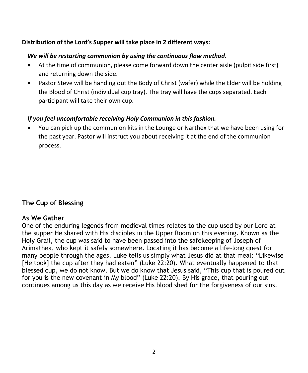#### **Distribution of the Lord's Supper will take place in 2 different ways:**

#### *We will be restarting communion by using the continuous flow method.*

- At the time of communion, please come forward down the center aisle (pulpit side first) and returning down the side.
- Pastor Steve will be handing out the Body of Christ (wafer) while the Elder will be holding the Blood of Christ (individual cup tray). The tray will have the cups separated. Each participant will take their own cup.

#### *If you feel uncomfortable receiving Holy Communion in this fashion.*

• You can pick up the communion kits in the Lounge or Narthex that we have been using for the past year. Pastor will instruct you about receiving it at the end of the communion process.

#### **The Cup of Blessing**

#### **As We Gather**

One of the enduring legends from medieval times relates to the cup used by our Lord at the supper He shared with His disciples in the Upper Room on this evening. Known as the Holy Grail, the cup was said to have been passed into the safekeeping of Joseph of Arimathea, who kept it safely somewhere. Locating it has become a life-long quest for many people through the ages. Luke tells us simply what Jesus did at that meal: "Likewise [He took] the cup after they had eaten" (Luke 22:20). What eventually happened to that blessed cup, we do not know. But we do know that Jesus said, "This cup that is poured out for you is the new covenant in My blood" (Luke 22:20). By His grace, that pouring out continues among us this day as we receive His blood shed for the forgiveness of our sins.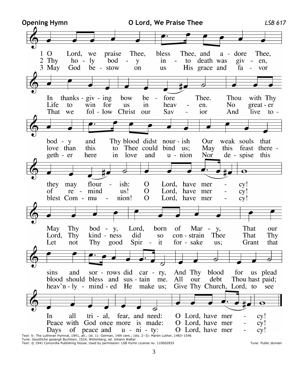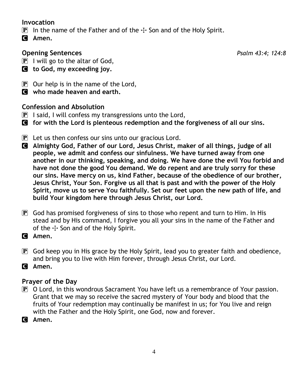#### **Invocation**

- **P** In the name of the Father and of the  $\pm$  Son and of the Holy Spirit.
- C **Amen.**

# **Opening Sentences** *Psalm 43:4; 124:8*

 $\boxed{\mathbf{P}}$  I will go to the altar of God,

- C **to God, my exceeding joy.**
- $\mathbf{P}$  Our help is in the name of the Lord,
- C **who made heaven and earth.**

# **Confession and Absolution**

- **P** I said, I will confess my transgressions unto the Lord,
- C **for with the Lord is plenteous redemption and the forgiveness of all our sins.**
- $\mathbf{P}$  Let us then confess our sins unto our gracious Lord.
- C **Almighty God, Father of our Lord, Jesus Christ, maker of all things, judge of all people, we admit and confess our sinfulness. We have turned away from one another in our thinking, speaking, and doing. We have done the evil You forbid and have not done the good You demand. We do repent and are truly sorry for these our sins. Have mercy on us, kind Father, because of the obedience of our brother, Jesus Christ, Your Son. Forgive us all that is past and with the power of the Holy Spirit, move us to serve You faithfully. Set our feet upon the new path of life, and build Your kingdom here through Jesus Christ, our Lord.**
- $\mathbb{P}$  God has promised forgiveness of sins to those who repent and turn to Him. In His stead and by His command, I forgive you all your sins in the name of the Father and of the  $\pm$  Son and of the Holy Spirit.
- C **Amen.**
- P God keep you in His grace by the Holy Spirit, lead you to greater faith and obedience, and bring you to live with Him forever, through Jesus Christ, our Lord.
- C **Amen.**

# **Prayer of the Day**

- P O Lord, in this wondrous Sacrament You have left us a remembrance of Your passion. Grant that we may so receive the sacred mystery of Your body and blood that the fruits of Your redemption may continually be manifest in us; for You live and reign with the Father and the Holy Spirit, one God, now and forever.
- C **Amen.**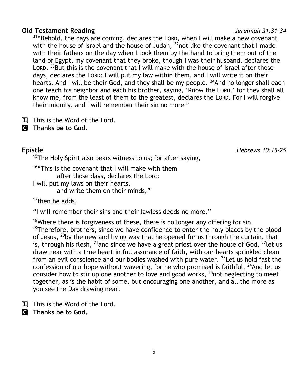#### 5

#### **Old Testament Reading** *Jeremiah 31:31–34*

 $31$ "Behold, the days are coming, declares the LORD, when I will make a new covenant with the house of Israel and the house of Judah,  $32$  not like the covenant that I made with their fathers on the day when I took them by the hand to bring them out of the land of Egypt, my covenant that they broke, though I was their husband, declares the LORD. <sup>33</sup>But this is the covenant that I will make with the house of Israel after those days, declares the LORD: I will put my law within them, and I will write it on their hearts. And I will be their God, and they shall be my people. <sup>34</sup>And no longer shall each one teach his neighbor and each his brother, saying, 'Know the LORD,' for they shall all know me, from the least of them to the greatest, declares the LORD. For I will forgive their iniquity, and I will remember their sin no more."

- L This is the Word of the Lord.
- C **Thanks be to God.**

 $15$ The Holy Spirit also bears witness to us; for after saying,

<sup>16</sup>"This is the covenant that I will make with them

after those days, declares the Lord:

I will put my laws on their hearts,

and write them on their minds,"

 $17$ then he adds,

"I will remember their sins and their lawless deeds no more."

<sup>18</sup>Where there is forgiveness of these, there is no longer any offering for sin. <sup>19</sup>Therefore, brothers, since we have confidence to enter the holy places by the blood of Jesus,  $^{20}$ by the new and living way that he opened for us through the curtain, that is, through his flesh,  $^{21}$ and since we have a great priest over the house of God,  $^{22}$ let us draw near with a true heart in full assurance of faith, with our hearts sprinkled clean from an evil conscience and our bodies washed with pure water.  $^{23}$  Let us hold fast the confession of our hope without wavering, for he who promised is faithful.  $^{24}$ And let us consider how to stir up one another to love and good works,  $^{25}$  not neglecting to meet together, as is the habit of some, but encouraging one another, and all the more as you see the Day drawing near.

 $\boxed{\mathbf{L}}$  This is the Word of the Lord.

C **Thanks be to God.**

**Epistle** *Hebrews 10:15–25*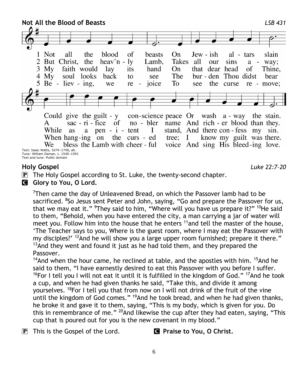**Not All the Blood of Beasts** *LSB 431* 1 Not all the blood  $\alpha$ f **beasts**  $On$  $Jew - ish$ slain  $al - tars$ 2 But Christ, the heav'n  $-1v$ Lamb. Takes all our sins  $a -$  way:  $3 \text{ My}$ faith would  $\log$ hand  $On$ that dear head of Thine. its bur - den Thou didst 4 My soul looks back see The bear to  $5$  Be - liev - ing, the curse we re joice To see re - move: Could give the guilt -  $y$ con-science peace Or wash a - way the stain. sac -  $ri$  - fice of name And rich - er blood than they. A no - bler stand, And there con-fess my sin. While **as** a pen  $-i$  - tent I know my guilt was there. When hang-ing on the curs - ed tree;  $I$ bless the Lamb with cheer - ful voice And sing His bleed-ing love. We

Text: Isaac Watts, 1674–1748, alt. Tune: William Daman, c. 1540–1591 Text and tune: Public domain

#### **Holy Gospel** *Luke 22:7–20*

- $\mathbf{P}$  The Holy Gospel according to St. Luke, the twenty-second chapter.
- **G** Glory to You, O Lord.

<sup>7</sup>Then came the day of Unleavened Bread, on which the Passover lamb had to be sacrificed. <sup>8</sup>So Jesus sent Peter and John, saying, "Go and prepare the Passover for us, that we may eat it." <sup>9</sup>They said to him, "Where will you have us prepare it?" <sup>10</sup>He said to them, "Behold, when you have entered the city, a man carrying a jar of water will meet you. Follow him into the house that he enters  $11$  and tell the master of the house, 'The Teacher says to you, Where is the guest room, where I may eat the Passover with my disciples?'  $^{12}$ And he will show you a large upper room furnished; prepare it there."  $13$ And they went and found it just as he had told them, and they prepared the Passover.

 $14$ And when the hour came, he reclined at table, and the apostles with him.  $15$ And he said to them, "I have earnestly desired to eat this Passover with you before I suffer. <sup>16</sup>For I tell you I will not eat it until it is fulfilled in the kingdom of God." <sup>17</sup>And he took a cup, and when he had given thanks he said, "Take this, and divide it among yourselves. <sup>18</sup>For I tell you that from now on I will not drink of the fruit of the vine until the kingdom of God comes." <sup>19</sup>And he took bread, and when he had given thanks, he broke it and gave it to them, saying, "This is my body, which is given for you. Do this in remembrance of me." <sup>20</sup>And likewise the cup after they had eaten, saying, "This cup that is poured out for you is the new covenant in my blood."

P This is the Gospel of the Lord. C **Praise to You, O Christ.**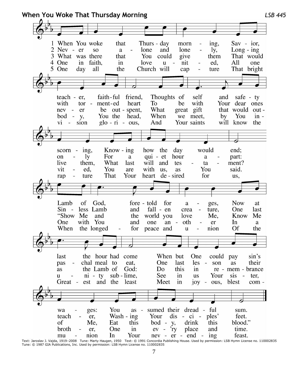**When You Woke That Thursday Morning** *LSB 445* 1 When You woke that Thurs - day  $Sav - ior$ , morn ing,  $\overline{2}$ Nev - er  $SO<sub>2</sub>$ a lone and lone ly,  $Long - ing$ 3 What was there that You could give them That would All 4 One in faith, in love u nit ed, one 5 One day all the Church will ture That bright cap teach - er. faith-ful friend. Thoughts of self and safe - ty with  $\sim$ ment-ed heart To be with Your dear ones tor nev er be out - spent, What great gift that would outhead, When we meet. You  $bod - y$ , You the  $\mathbf{b}$ v  $in$  $vi$ sion  $g$ lo -  $\dot{\text{ri}}$  - ous, And Your saints will know the  $Know - ing$ how the would scorn ing, day end:  $_{\rm on}$  $1y$ For a qui - et hour a part: live What will and them. last tes ta ment? vit You are with us, You said. ed. as rap ture That Your heart de - sired for us, Lamb of God, fore - told for  $\mathbf{a}$ ges, **Now** at Sin - less Lamb and fall - en crea ture, One last "Show Me and the world you Know love Me. Me One with You and one oth an In a er When the longed for peace and nion Of the u the hour had come When but last One could pay sin's pas chal meal to eat. One last les  $\sim$ son **as** their the Lamb of God: Do this as in re - mem - brance  $ni - tv$ sub - lime, See in **us** Your sis  $\sim 10^{-1}$ ter. u est and the Meet Great least in iov  $\sim$ ous. blest com wa ges: You as - sumed their dread - ful sum. er, Wash - ing Your  $dis - ci$ ples' feet. teach of blood." Me. Eat this  $bod - y$ , drink this broth One in  $ev - *ry*$ place and time. er. In Your  $nev - er - end - ing$ feast. mu nion Text: Jaroslav J. Vajda, 1919–2008 Tune: Marty Haugen, 1950 Text: © 1991 Concordia Publishing House. Used by permission: LSB Hymn License no. 110002835<br>Text: Jaroslav J. Vajda, 1919–2008 Tune: Marty Haugen, 1950 Text: © 19

Tune: © 1987 GIA Publications, Inc. Used by permission: LSB Hymn License no. 110002835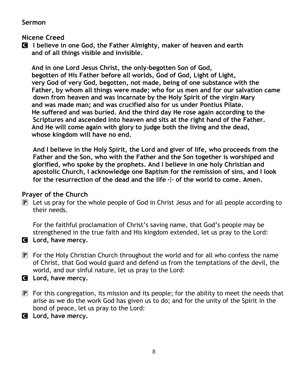#### **Sermon**

#### **Nicene Creed**

C **I believe in one God, the Father Almighty, maker of heaven and earth and of all things visible and invisible.**

 **And in one Lord Jesus Christ, the only-begotten Son of God, begotten of His Father before all worlds, God of God, Light of Light, very God of very God, begotten, not made, being of one substance with the Father, by whom all things were made; who for us men and for our salvation came down from heaven and was incarnate by the Holy Spirit of the virgin Mary and was made man; and was crucified also for us under Pontius Pilate. He suffered and was buried. And the third day He rose again according to the Scriptures and ascended into heaven and sits at the right hand of the Father. And He will come again with glory to judge both the living and the dead, whose kingdom will have no end.**

**And I believe in the Holy Spirit, the Lord and giver of life, who proceeds from the Father and the Son, who with the Father and the Son together is worshiped and glorified, who spoke by the prophets. And I believe in one holy Christian and apostolic Church, I acknowledge one Baptism for the remission of sins, and I look for the resurrection of the dead and the life** T **of the world to come. Amen.**

# **Prayer of the Church**

P Let us pray for the whole people of God in Christ Jesus and for all people according to their needs.

For the faithful proclamation of Christ's saving name, that God's people may be strengthened in the true faith and His kingdom extended, let us pray to the Lord:

- C **Lord, have mercy.**
- $\mathbb{P}$  For the Holy Christian Church throughout the world and for all who confess the name of Christ, that God would guard and defend us from the temptations of the devil, the world, and our sinful nature, let us pray to the Lord:
- C **Lord, have mercy.**
- $\mathbb{P}$  For this congregation, its mission and its people; for the ability to meet the needs that arise as we do the work God has given us to do; and for the unity of the Spirit in the bond of peace, let us pray to the Lord:
- C **Lord, have mercy.**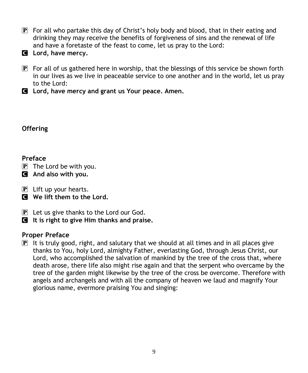- $\mathbb{P}$  For all who partake this day of Christ's holy body and blood, that in their eating and drinking they may receive the benefits of forgiveness of sins and the renewal of life and have a foretaste of the feast to come, let us pray to the Lord:
- C **Lord, have mercy.**
- $\mathbb{P}$  For all of us gathered here in worship, that the blessings of this service be shown forth in our lives as we live in peaceable service to one another and in the world, let us pray to the Lord:
- C **Lord, have mercy and grant us Your peace. Amen.**

#### **Offering**

# **Preface**

- $\overline{P}$  The Lord be with you.
- C **And also with you.**
- $\mathbf{P}$  Lift up your hearts.
- C **We lift them to the Lord.**
- $\mathbf{P}$  Let us give thanks to the Lord our God.
- C **It is right to give Him thanks and praise.**

# **Proper Preface**

 $\mathbf{P}$  It is truly good, right, and salutary that we should at all times and in all places give thanks to You, holy Lord, almighty Father, everlasting God, through Jesus Christ, our Lord, who accomplished the salvation of mankind by the tree of the cross that, where death arose, there life also might rise again and that the serpent who overcame by the tree of the garden might likewise by the tree of the cross be overcome. Therefore with angels and archangels and with all the company of heaven we laud and magnify Your glorious name, evermore praising You and singing: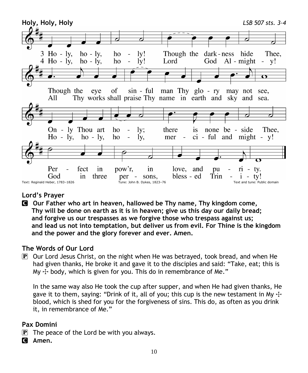

# **Lord's Prayer**

C **Our Father who art in heaven, hallowed be Thy name, Thy kingdom come, Thy will be done on earth as it is in heaven; give us this day our daily bread; and forgive us our trespasses as we forgive those who trespass against us; and lead us not into temptation, but deliver us from evil. For Thine is the kingdom and the power and the glory forever and ever. Amen.**

# **The Words of Our Lord**

 $\mathbb{P}$  Our Lord Jesus Christ, on the night when He was betrayed, took bread, and when He had given thanks, He broke it and gave it to the disciples and said: "Take, eat; this is My  $\pm$  body, which is given for you. This do in remembrance of Me."

In the same way also He took the cup after supper, and when He had given thanks, He gave it to them, saying: "Drink of it, all of you; this cup is the new testament in My  $\pm$ blood, which is shed for you for the forgiveness of sins. This do, as often as you drink it, in remembrance of Me."

#### **Pax Domini**

- $\mathbf{P}$  The peace of the Lord be with you always.
- C **Amen.**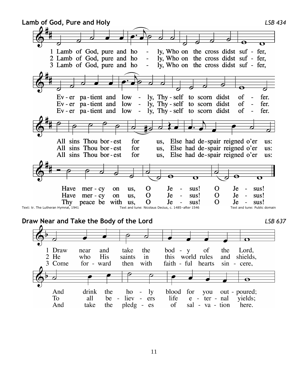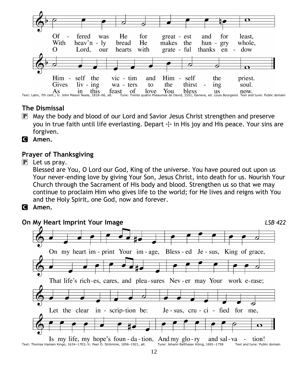

# **The Dismissal**

- P May the body and blood of our Lord and Savior Jesus Christ strengthen and preserve you in true faith until life everlasting. Depart  $\pm$  in His joy and His peace. Your sins are forgiven.
- C **Amen.**

#### **Prayer of Thanksgiving**

 $\mathbf{P}$  Let us pray.

Blessed are You, O Lord our God, King of the universe. You have poured out upon us Your never-ending love by giving Your Son, Jesus Christ, into death for us. Nourish Your Church through the Sacrament of His body and blood. Strengthen us so that we may continue to proclaim Him who gives life to the world; for He lives and reigns with You and the Holy Spirit, one God, now and forever.

C **Amen.**



Is my life, my hope's foun - da - tion, And my glo-ry and sal-va tion!  $\blacksquare$ Text: Thomas Hansen Kingo, 1634–1703; tr. Peer O. Strömme, 1856–1921, alt. Tune: Johann Balthasar König, 1691–1758 Text and tune: Public domain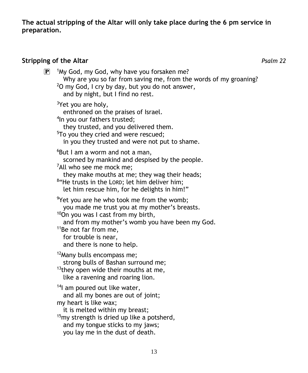**The actual stripping of the Altar will only take place during the 6 pm service in preparation.**

# **Stripping of the Altar** *Psalm 22*

| $\bf \overline{P}$ | <sup>1</sup> My God, my God, why have you forsaken me?<br>Why are you so far from saving me, from the words of my groaning?<br><sup>2</sup> O my God, I cry by day, but you do not answer,<br>and by night, but I find no rest.                                                                         |
|--------------------|---------------------------------------------------------------------------------------------------------------------------------------------------------------------------------------------------------------------------------------------------------------------------------------------------------|
|                    | <sup>3</sup> Yet you are holy,<br>enthroned on the praises of Israel.<br><sup>4</sup> In you our fathers trusted;<br>they trusted, and you delivered them.<br><sup>5</sup> To you they cried and were rescued;<br>in you they trusted and were not put to shame.                                        |
|                    | <sup>6</sup> But I am a worm and not a man,<br>scorned by mankind and despised by the people.<br><sup>7</sup> All who see me mock me;<br>they make mouths at me; they wag their heads;<br><sup>8</sup> "He trusts in the LORD; let him deliver him;<br>let him rescue him, for he delights in him!"     |
|                    | <sup>9</sup> Yet you are he who took me from the womb;<br>you made me trust you at my mother's breasts.<br><sup>10</sup> On you was I cast from my birth,<br>and from my mother's womb you have been my God.<br><sup>11</sup> Be not far from me,<br>for trouble is near,<br>and there is none to help. |
|                    | <sup>12</sup> Many bulls encompass me;<br>strong bulls of Bashan surround me;<br><sup>13</sup> they open wide their mouths at me,<br>like a ravening and roaring lion.                                                                                                                                  |
|                    | <sup>14</sup> l am poured out like water,<br>and all my bones are out of joint;<br>my heart is like wax;<br>it is melted within my breast;<br><sup>15</sup> my strength is dried up like a potsherd,<br>and my tongue sticks to my jaws;<br>you lay me in the dust of death.                            |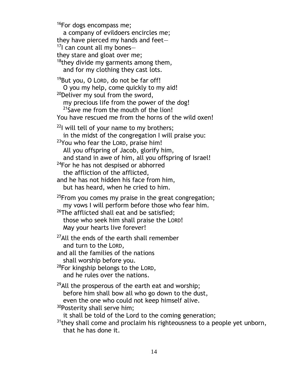<sup>16</sup>For dogs encompass me; a company of evildoers encircles me; they have pierced my hands and feet—  $17$ I can count all my bonesthey stare and gloat over me;  $18$ they divide my garments among them, and for my clothing they cast lots. 19But you, O LORD, do not be far off! O you my help, come quickly to my aid! <sup>20</sup>Deliver my soul from the sword, my precious life from the power of the dog!  $21$ Save me from the mouth of the lion! You have rescued me from the horns of the wild oxen!  $22$ I will tell of your name to my brothers; in the midst of the congregation I will praise you: <sup>23</sup>You who fear the LORD, praise him! All you offspring of Jacob, glorify him, and stand in awe of him, all you offspring of Israel! <sup>24</sup>For he has not despised or abhorred the affliction of the afflicted, and he has not hidden his face from him, but has heard, when he cried to him.  $25$ From you comes my praise in the great congregation; my vows I will perform before those who fear him.  $26$ The afflicted shall eat and be satisfied; those who seek him shall praise the LORD! May your hearts live forever!  $27$ All the ends of the earth shall remember and turn to the LORD, and all the families of the nations shall worship before you.  $28$ For kingship belongs to the LORD, and he rules over the nations. <sup>29</sup>All the prosperous of the earth eat and worship; before him shall bow all who go down to the dust, even the one who could not keep himself alive.  $30P$ osterity shall serve him; it shall be told of the Lord to the coming generation;  $31$ <sup>31</sup>they shall come and proclaim his righteousness to a people yet unborn, that he has done it.